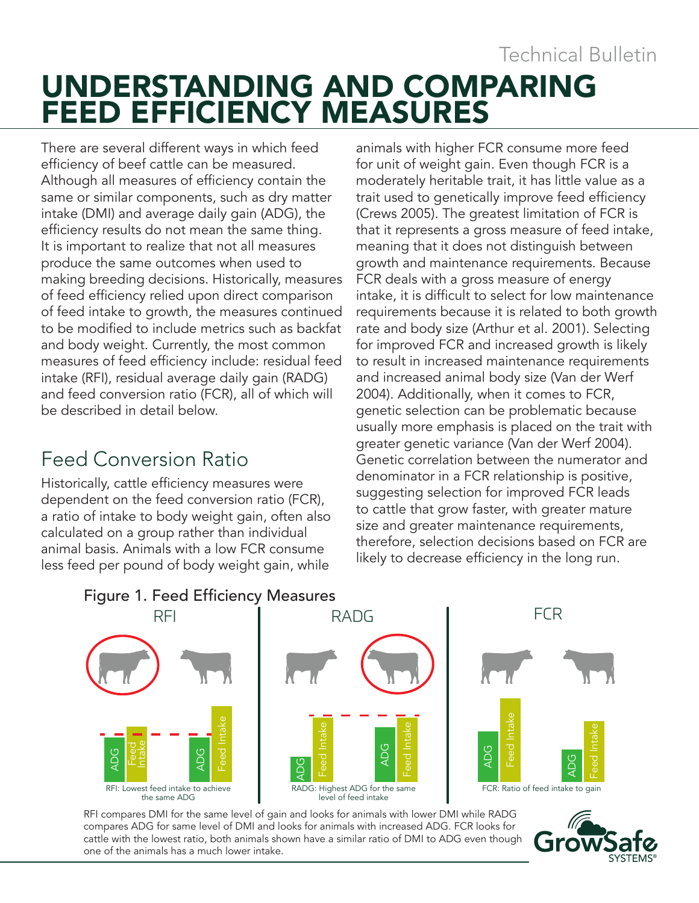UNDERSTANDING AND COMPARING FEED EFFICIENCY MEASURES Technical Bulletin

There are several different ways in which feed efficiency of beef cattle can be measured. Although all measures of efficiency contain the same or similar components, such as dry matter intake (DMI) and average daily gain (ADG), the efficiency results do not mean the same thing. It is important to realize that not all measures produce the same outcomes when used to making breeding decisions. Historically, measures of feed efficiency relied upon direct comparison of feed intake to growth, the measures continued to be modified to include metrics such as backfat and body weight. Currently, the most common measures of feed efficiency include: residual feed intake (RFI), residual average daily gain (RADG) and feed conversion ratio (FCR), all of which will be described in detail below.

#### Feed Conversion Ratio

Historically, cattle efficiency measures were dependent on the feed conversion ratio (FCR), a ratio of intake to body weight gain, often also calculated on a group rather than individual animal basis. Animals with a low FCR consume less feed per pound of body weight gain, while

animals with higher FCR consume more feed for unit of weight gain. Even though FCR is a moderately heritable trait, it has little value as a trait used to genetically improve feed efficiency (Crews 2005). The greatest limitation of FCR is that it represents a gross measure of feed intake, meaning that it does not distinguish between growth and maintenance requirements. Because FCR deals with a gross measure of energy intake, it is difficult to select for low maintenance requirements because it is related to both growth rate and body size (Arthur et al. 2001). Selecting for improved FCR and increased growth is likely to result in increased maintenance requirements and increased animal body size (Van der Werf 2004). Additionally, when it comes to FCR, genetic selection can be problematic because usually more emphasis is placed on the trait with greater genetic variance (Van der Werf 2004). Genetic correlation between the numerator and denominator in a FCR relationship is positive, suggesting selection for improved FCR leads to cattle that grow faster, with greater mature size and greater maintenance requirements, therefore, selection decisions based on FCR are likely to decrease efficiency in the long run.



RFI compares DMI for the same level of gain and looks for animals with lower DMI while RADG compares ADG for same level of DMI and looks for animals with increased ADG. FCR looks for cattle with the lowest ratio, both animals shown have a similar ratio of DMI to ADG even though one of the animals has a much lower intake.